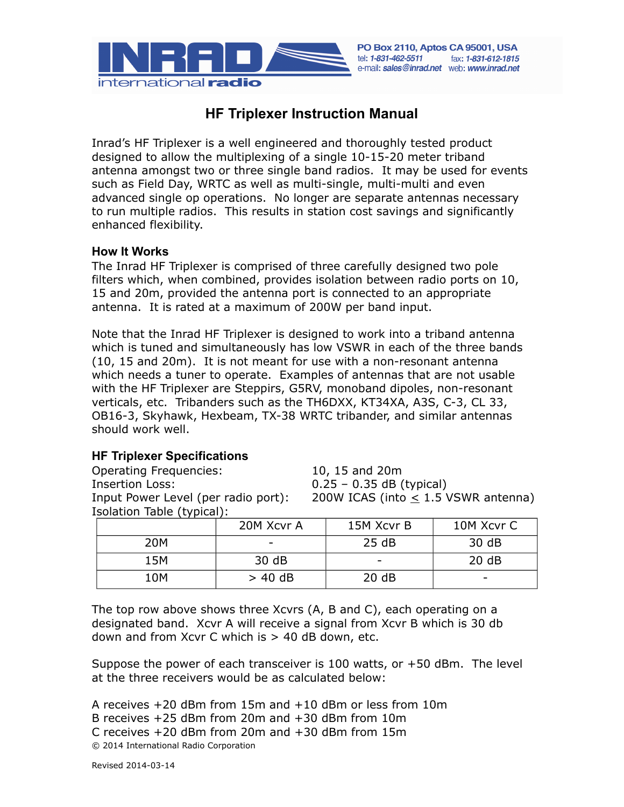

# **HF Triplexer Instruction Manual**

Inrad's HF Triplexer is a well engineered and thoroughly tested product designed to allow the multiplexing of a single 10-15-20 meter triband antenna amongst two or three single band radios. It may be used for events such as Field Day, WRTC as well as multi-single, multi-multi and even advanced single op operations. No longer are separate antennas necessary to run multiple radios. This results in station cost savings and significantly enhanced flexibility.

### **How It Works**

The Inrad HF Triplexer is comprised of three carefully designed two pole filters which, when combined, provides isolation between radio ports on 10, 15 and 20m, provided the antenna port is connected to an appropriate antenna. It is rated at a maximum of 200W per band input.

Note that the Inrad HF Triplexer is designed to work into a triband antenna which is tuned and simultaneously has low VSWR in each of the three bands (10, 15 and 20m). It is not meant for use with a non-resonant antenna which needs a tuner to operate. Examples of antennas that are not usable with the HF Triplexer are Steppirs, G5RV, monoband dipoles, non-resonant verticals, etc. Tribanders such as the TH6DXX, KT34XA, A3S, C-3, CL 33, OB16-3, Skyhawk, Hexbeam, TX-38 WRTC tribander, and similar antennas should work well.

### **HF Triplexer Specifications**

Operating Frequencies: 10, 15 and 20m Insertion Loss: 0.25 – 0.35 dB (typical) Isolation Table (typical):

Input Power Level (per radio port): 200W ICAS (into  $\leq$  1.5 VSWR antenna)

| $\sim$ $\sim$ $\sim$ $\sim$ | 20M Xcvr A | 15M Xcvr B | 10M Xcvr C |
|-----------------------------|------------|------------|------------|
| 20M                         |            | 25 dB      | 30 dB      |
| 15M                         | 30 dB      |            | 20 dB      |
| 10M                         | $> 40$ dB  | 20 dB      |            |

The top row above shows three Xcvrs (A, B and C), each operating on a designated band. Xcvr A will receive a signal from Xcvr B which is 30 db down and from Xcvr C which is > 40 dB down, etc.

Suppose the power of each transceiver is 100 watts, or +50 dBm. The level at the three receivers would be as calculated below:

```
A receives +20 dBm from 15m and +10 dBm or less from 10m
B receives +25 dBm from 20m and +30 dBm from 10m
C receives +20 dBm from 20m and +30 dBm from 15m
© 2014 International Radio Corporation
```
Revised 2014-03-14